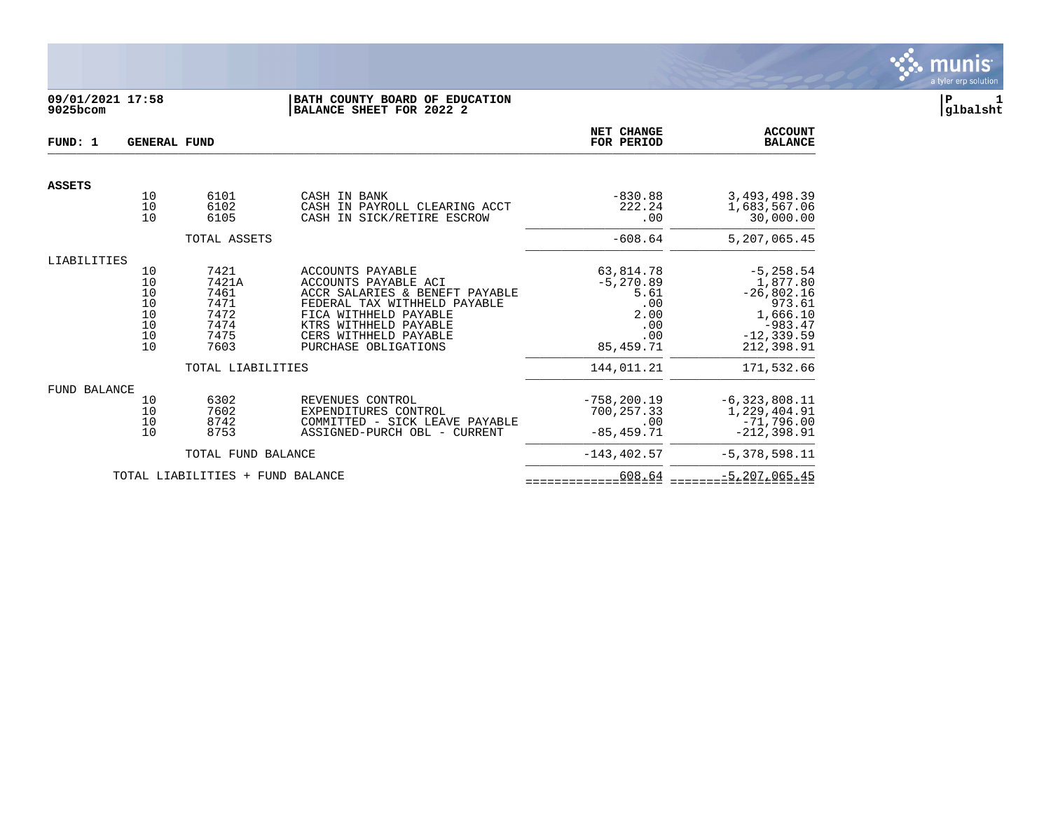

## **09/01/2021 17:58 |BATH COUNTY BOARD OF EDUCATION |P 1 9025bcom |BALANCE SHEET FOR 2022 2 |glbalsht**

| FUND: 1       | <b>GENERAL FUND</b>                          |                                                               | <b>NET CHANGE</b><br>FOR PERIOD                                                                                                                                                                               | <b>ACCOUNT</b><br><b>BALANCE</b>                                            |                                                                                                            |
|---------------|----------------------------------------------|---------------------------------------------------------------|---------------------------------------------------------------------------------------------------------------------------------------------------------------------------------------------------------------|-----------------------------------------------------------------------------|------------------------------------------------------------------------------------------------------------|
|               |                                              |                                                               |                                                                                                                                                                                                               |                                                                             |                                                                                                            |
| <b>ASSETS</b> | 10<br>10<br>10                               | 6101<br>6102<br>6105                                          | CASH IN BANK<br>CASH IN PAYROLL CLEARING ACCT<br>CASH IN SICK/RETIRE ESCROW                                                                                                                                   | $-830.88$<br>222.24<br>.00                                                  | 3, 493, 498.39<br>1,683,567.06<br>30,000.00                                                                |
|               |                                              | TOTAL ASSETS                                                  |                                                                                                                                                                                                               | $-608.64$                                                                   | 5,207,065.45                                                                                               |
| LIABILITIES   | 10<br>10<br>10<br>10<br>10<br>10<br>10<br>10 | 7421<br>7421A<br>7461<br>7471<br>7472<br>7474<br>7475<br>7603 | ACCOUNTS PAYABLE<br>ACCOUNTS PAYABLE ACI<br>ACCR SALARIES & BENEFT PAYABLE<br>FEDERAL TAX WITHHELD PAYABLE<br>FICA WITHHELD PAYABLE<br>KTRS WITHHELD PAYABLE<br>CERS WITHHELD PAYABLE<br>PURCHASE OBLIGATIONS | 63,814.78<br>$-5, 270.89$<br>5.61<br>.00<br>2.00<br>.00<br>.00<br>85,459.71 | $-5, 258.54$<br>1,877.80<br>$-26,802.16$<br>973.61<br>1,666.10<br>$-983.47$<br>$-12, 339.59$<br>212,398.91 |
|               |                                              | TOTAL LIABILITIES                                             |                                                                                                                                                                                                               | 144,011.21                                                                  | 171,532.66                                                                                                 |
| FUND BALANCE  | 10<br>10<br>10<br>10                         | 6302<br>7602<br>8742<br>8753                                  | REVENUES CONTROL<br>EXPENDITURES CONTROL<br>COMMITTED - SICK LEAVE PAYABLE<br>ASSIGNED-PURCH OBL - CURRENT                                                                                                    | $-758, 200.19$<br>700,257.33<br>.00<br>$-85, 459.71$                        | $-6,323,808.11$<br>1,229,404.91<br>$-71,796.00$<br>$-212, 398.91$                                          |
|               |                                              | TOTAL FUND BALANCE                                            |                                                                                                                                                                                                               | $-143, 402.57$                                                              | $-5,378,598.11$                                                                                            |
|               |                                              | TOTAL LIABILITIES + FUND BALANCE                              |                                                                                                                                                                                                               | 608.64                                                                      | $-5, 207, 065.45$                                                                                          |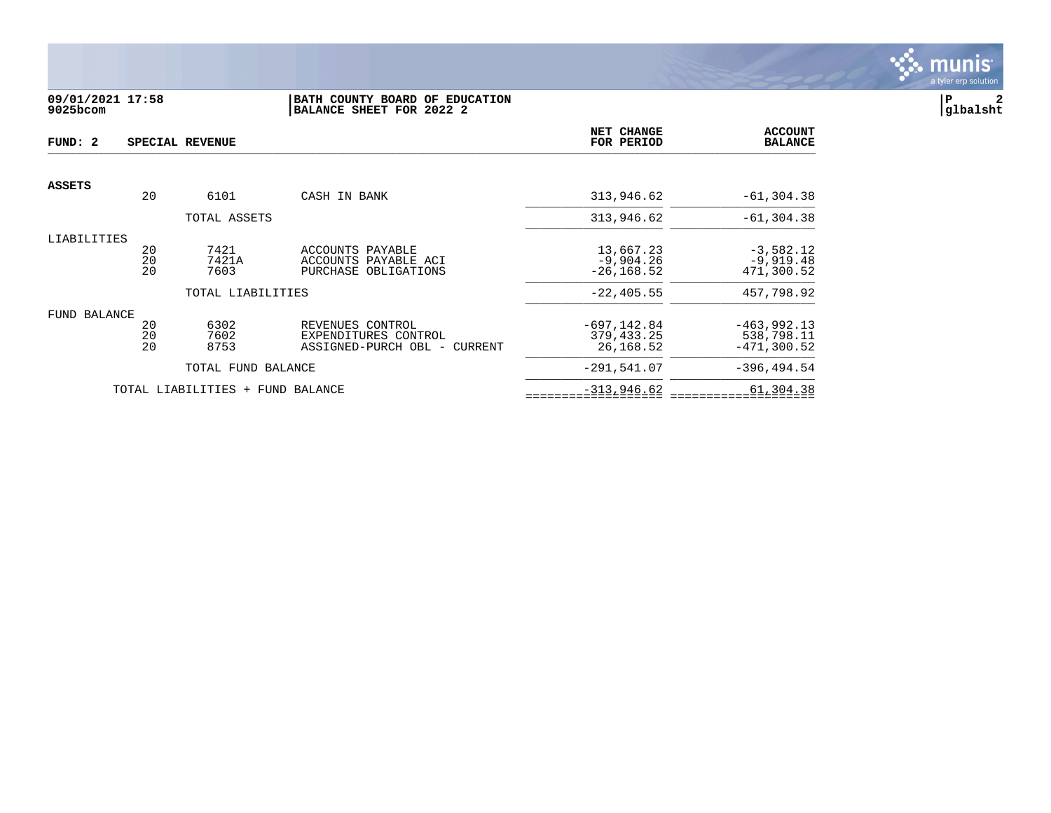

# **09/01/2021 17:58 |BATH COUNTY BOARD OF EDUCATION |P 2 9025bcom |BALANCE SHEET FOR 2022 2 |glbalsht**

| FUND: 2       |                | SPECIAL REVENUE                  | NET CHANGE<br>FOR PERIOD                                                 | <b>ACCOUNT</b><br><b>BALANCE</b>            |                                              |
|---------------|----------------|----------------------------------|--------------------------------------------------------------------------|---------------------------------------------|----------------------------------------------|
|               |                |                                  |                                                                          |                                             |                                              |
| <b>ASSETS</b> | 20             | 6101                             | CASH IN BANK                                                             | 313,946.62                                  | $-61, 304.38$                                |
|               |                | TOTAL ASSETS                     |                                                                          | 313,946.62                                  | $-61, 304.38$                                |
| LIABILITIES   | 20<br>20<br>20 | 7421<br>7421A<br>7603            | ACCOUNTS PAYABLE<br>ACCOUNTS PAYABLE ACI<br>PURCHASE OBLIGATIONS         | 13,667.23<br>$-9,904.26$<br>$-26, 168.52$   | $-3,582.12$<br>$-9,919.48$<br>471,300.52     |
|               |                | TOTAL LIABILITIES                |                                                                          | $-22, 405.55$                               | 457,798.92                                   |
| FUND BALANCE  | 20<br>20<br>20 | 6302<br>7602<br>8753             | REVENUES CONTROL<br>EXPENDITURES CONTROL<br>ASSIGNED-PURCH OBL - CURRENT | $-697, 142.84$<br>379, 433. 25<br>26,168.52 | $-463,992.13$<br>538,798.11<br>$-471,300.52$ |
|               |                | TOTAL FUND BALANCE               |                                                                          | $-291,541.07$                               | $-396.494.54$                                |
|               |                | TOTAL LIABILITIES + FUND BALANCE |                                                                          | $-313,946.62$                               | 61,304.38                                    |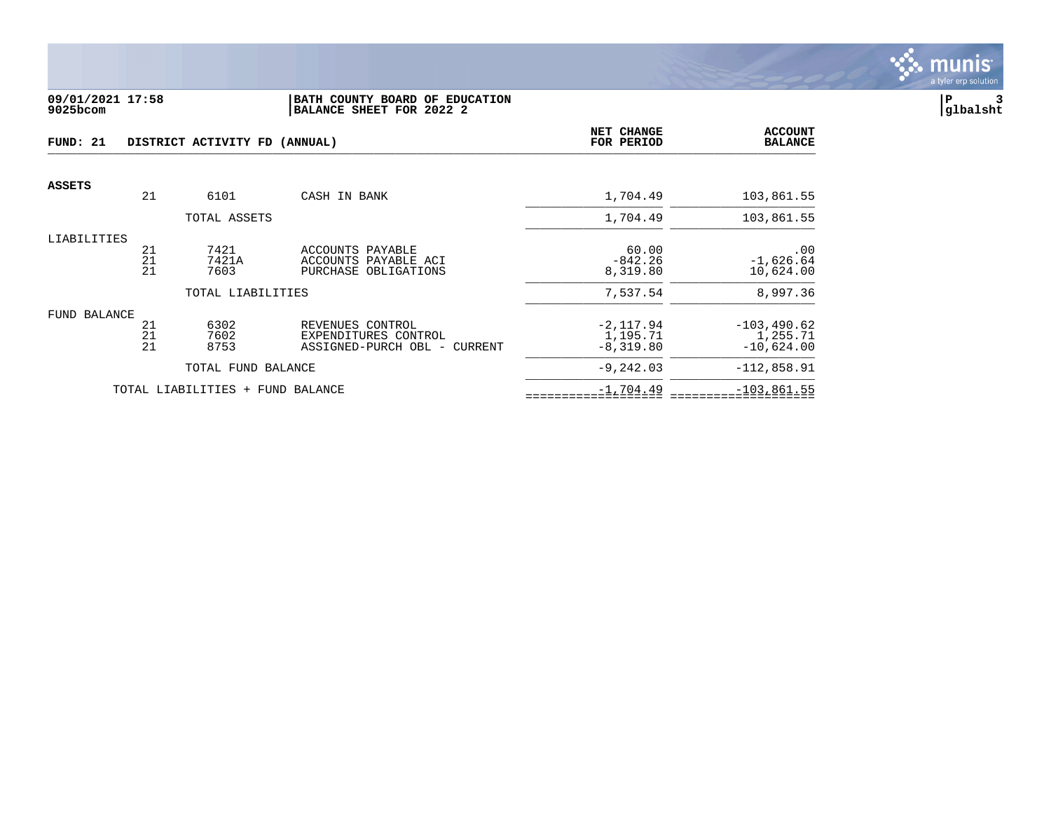

### **09/01/2021 17:58 |BATH COUNTY BOARD OF EDUCATION |P 3 9025bcom |BALANCE SHEET FOR 2022 2 |glbalsht**

| FUND: 21      |                                               | DISTRICT ACTIVITY FD (ANNUAL)    | NET CHANGE<br>FOR PERIOD                                                 | <b>ACCOUNT</b><br><b>BALANCE</b>       |                                            |
|---------------|-----------------------------------------------|----------------------------------|--------------------------------------------------------------------------|----------------------------------------|--------------------------------------------|
| <b>ASSETS</b> |                                               |                                  |                                                                          |                                        |                                            |
|               | 21                                            | 6101                             | CASH IN BANK                                                             | 1,704.49                               | 103,861.55                                 |
|               |                                               | TOTAL ASSETS                     |                                                                          | 1,704.49                               | 103,861.55                                 |
| LIABILITIES   | 21<br>21<br>21                                | 7421<br>7421A<br>7603            | ACCOUNTS PAYABLE<br>ACCOUNTS PAYABLE ACI<br>PURCHASE OBLIGATIONS         | 60.00<br>$-842.26$<br>8,319.80         | .00<br>$-1,626.64$<br>10,624.00            |
|               |                                               | TOTAL LIABILITIES                |                                                                          | 7,537.54                               | 8,997.36                                   |
| FUND BALANCE  | 21<br>$\begin{array}{c} 21 \\ 21 \end{array}$ | 6302<br>7602<br>8753             | REVENUES CONTROL<br>EXPENDITURES CONTROL<br>ASSIGNED-PURCH OBL - CURRENT | $-2,117.94$<br>1,195.71<br>$-8,319.80$ | $-103, 490.62$<br>1,255.71<br>$-10,624.00$ |
|               |                                               | TOTAL FUND BALANCE               |                                                                          | $-9,242.03$                            | $-112,858.91$                              |
|               |                                               | TOTAL LIABILITIES + FUND BALANCE |                                                                          | $-1,704.49$                            | $-103,861.55$                              |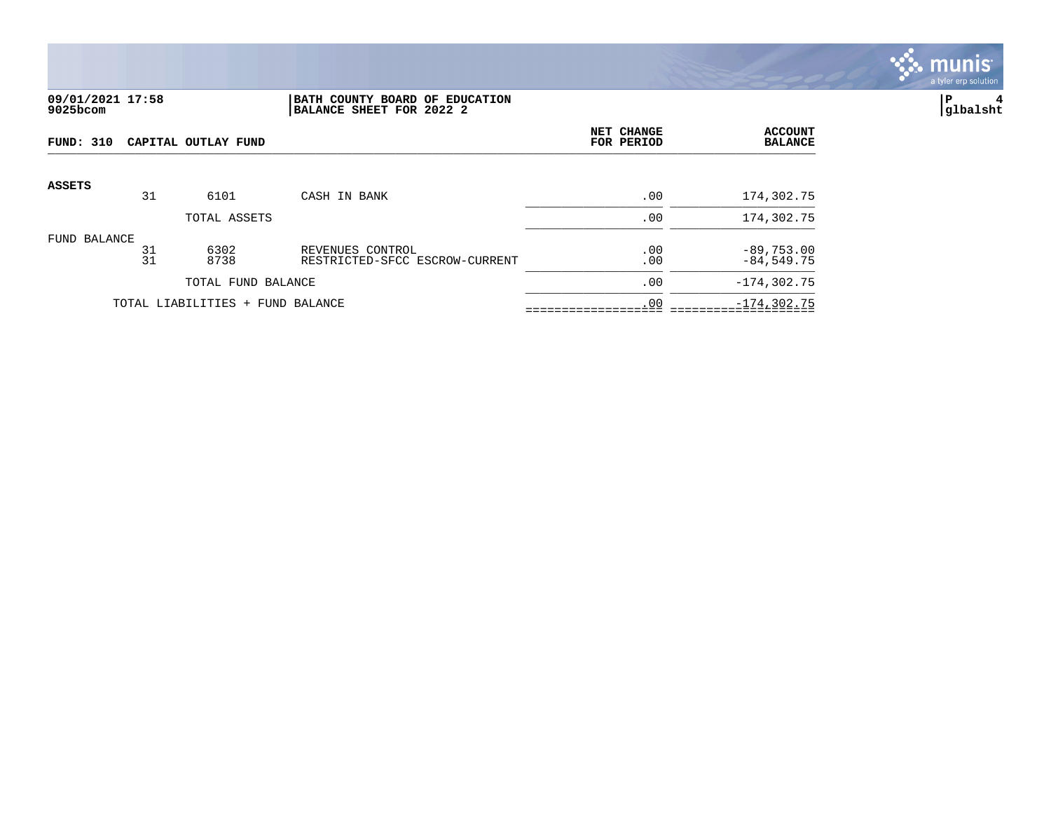

## **09/01/2021 17:58 |BATH COUNTY BOARD OF EDUCATION |P 4 9025bcom |BALANCE SHEET FOR 2022 2 |glbalsht**

| FUND: 310     |          | CAPITAL OUTLAY FUND              |                                                    | NET CHANGE<br>FOR PERIOD | <b>ACCOUNT</b><br><b>BALANCE</b> |
|---------------|----------|----------------------------------|----------------------------------------------------|--------------------------|----------------------------------|
| <b>ASSETS</b> |          |                                  |                                                    |                          |                                  |
|               | 31       | 6101                             | CASH IN BANK                                       | .00                      | 174,302.75                       |
|               |          | TOTAL ASSETS                     |                                                    | .00                      | 174,302.75                       |
| FUND BALANCE  | 31<br>31 | 6302<br>8738                     | REVENUES CONTROL<br>RESTRICTED-SFCC ESCROW-CURRENT | .00<br>.00               | $-89,753.00$<br>$-84,549.75$     |
|               |          | TOTAL FUND BALANCE               |                                                    | .00                      | $-174, 302.75$                   |
|               |          | TOTAL LIABILITIES + FUND BALANCE |                                                    | .00                      | $-174, 302.75$                   |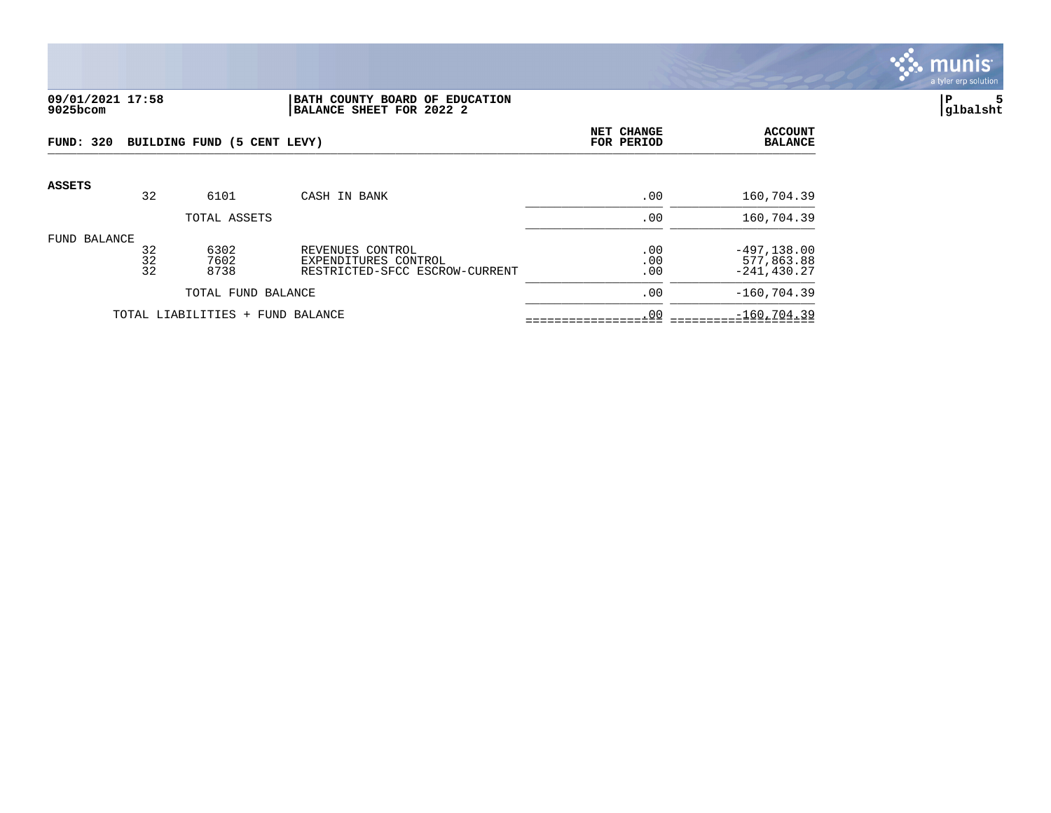

#### **09/01/2021 17:58 |BATH COUNTY BOARD OF EDUCATION |P 5 9025bcom |BALANCE SHEET FOR 2022 2 |glbalsht**

| <b>FUND: 320</b>                 |                | BUILDING FUND (5 CENT LEVY) |                                                                            | NET CHANGE<br>FOR PERIOD | <b>ACCOUNT</b><br><b>BALANCE</b>               |
|----------------------------------|----------------|-----------------------------|----------------------------------------------------------------------------|--------------------------|------------------------------------------------|
| <b>ASSETS</b>                    | 32             | 6101                        | CASH IN BANK                                                               | .00                      | 160,704.39                                     |
|                                  |                | TOTAL ASSETS                |                                                                            | .00                      | 160,704.39                                     |
| FUND BALANCE                     | 32<br>32<br>32 | 6302<br>7602<br>8738        | REVENUES CONTROL<br>EXPENDITURES CONTROL<br>RESTRICTED-SFCC ESCROW-CURRENT | .00<br>.00<br>.00        | $-497, 138.00$<br>577,863.88<br>$-241, 430.27$ |
|                                  |                | TOTAL FUND BALANCE          |                                                                            | .00                      | $-160, 704.39$                                 |
| TOTAL LIABILITIES + FUND BALANCE |                |                             |                                                                            | .00                      | $-160, 704.39$                                 |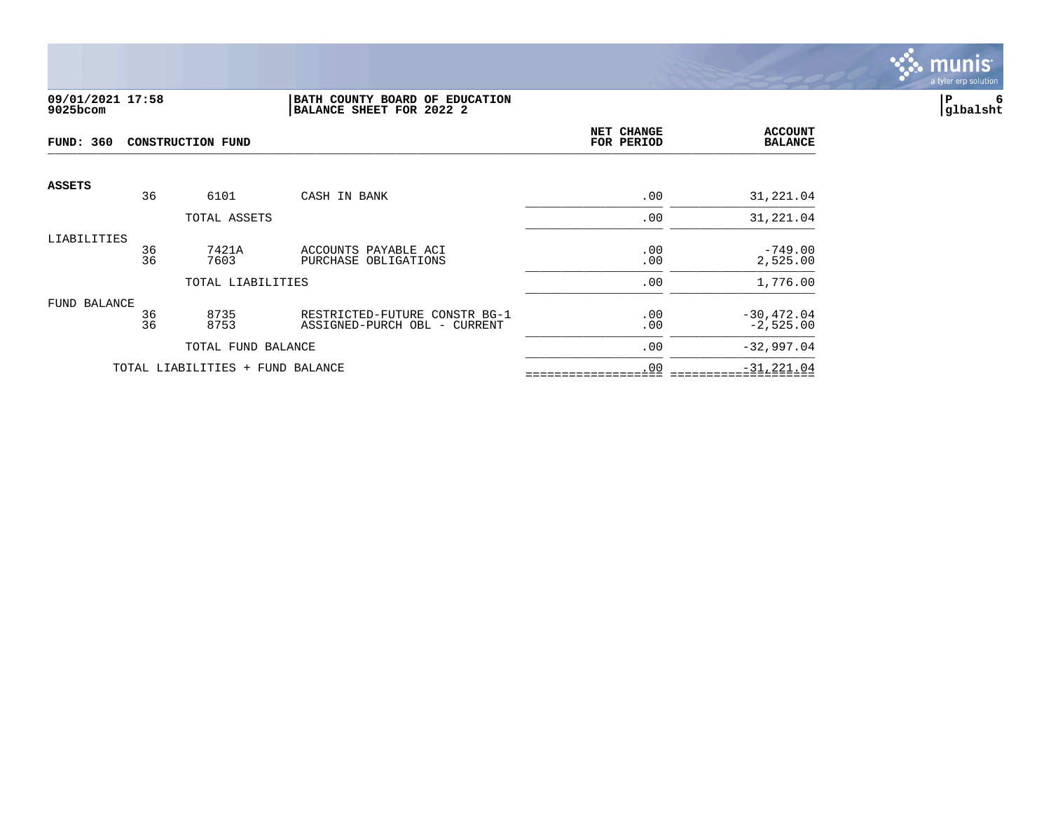

#### **09/01/2021 17:58 |BATH COUNTY BOARD OF EDUCATION |P 6 9025bcom |BALANCE SHEET FOR 2022 2 |glbalsht**

| <b>FUND: 360</b> |          | <b>CONSTRUCTION FUND</b>         | NET CHANGE<br>FOR PERIOD                                      | <b>ACCOUNT</b><br><b>BALANCE</b> |                              |
|------------------|----------|----------------------------------|---------------------------------------------------------------|----------------------------------|------------------------------|
| <b>ASSETS</b>    | 36       | 6101                             | CASH IN BANK                                                  | .00                              | 31,221.04                    |
|                  |          | TOTAL ASSETS                     |                                                               | .00                              | 31,221.04                    |
| LIABILITIES      | 36<br>36 | 7421A<br>7603                    | ACCOUNTS PAYABLE ACI<br>PURCHASE OBLIGATIONS                  | .00<br>.00                       | $-749.00$<br>2,525.00        |
|                  |          | TOTAL LIABILITIES                |                                                               | .00                              | 1,776.00                     |
| FUND BALANCE     | 36<br>36 | 8735<br>8753                     | RESTRICTED-FUTURE CONSTR BG-1<br>ASSIGNED-PURCH OBL - CURRENT | .00<br>.00                       | $-30, 472.04$<br>$-2,525.00$ |
|                  |          | TOTAL FUND BALANCE               |                                                               | .00                              | $-32,997.04$                 |
|                  |          | TOTAL LIABILITIES + FUND BALANCE |                                                               | .00                              | $-31, 221.04$                |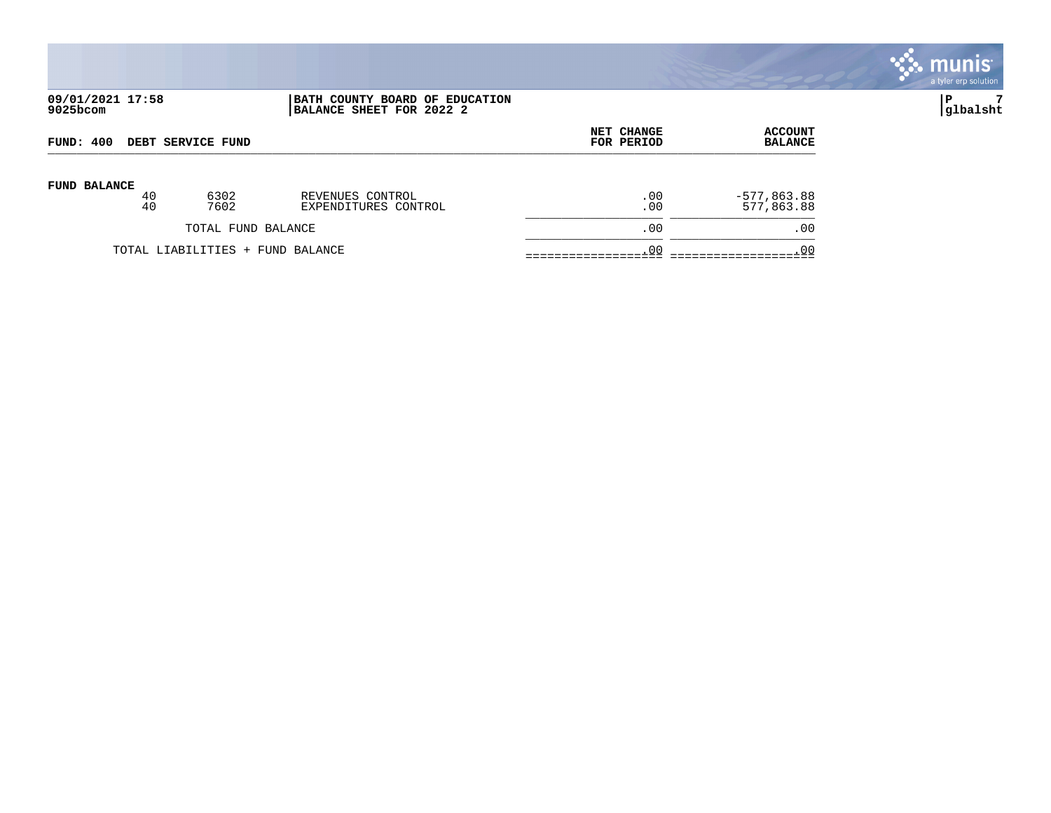

# **09/01/2021 17:58 |BATH COUNTY BOARD OF EDUCATION |P 7 9025bcom |BALANCE SHEET FOR 2022 2 |glbalsht**

| DEBT SERVICE FUND                |    |      |                      | <b>NET CHANGE</b> | <b>ACCOUNT</b> |
|----------------------------------|----|------|----------------------|-------------------|----------------|
| FUND: 400                        |    |      |                      | FOR PERIOD        | <b>BALANCE</b> |
| <b>FUND BALANCE</b>              | 40 | 6302 | REVENUES CONTROL     | .00               | $-577,863.88$  |
|                                  | 40 | 7602 | EXPENDITURES CONTROL | .00               | 577,863.88     |
| TOTAL FUND BALANCE               |    |      | .00                  | .00               |                |
| TOTAL LIABILITIES + FUND BALANCE |    |      | .00                  | .00               |                |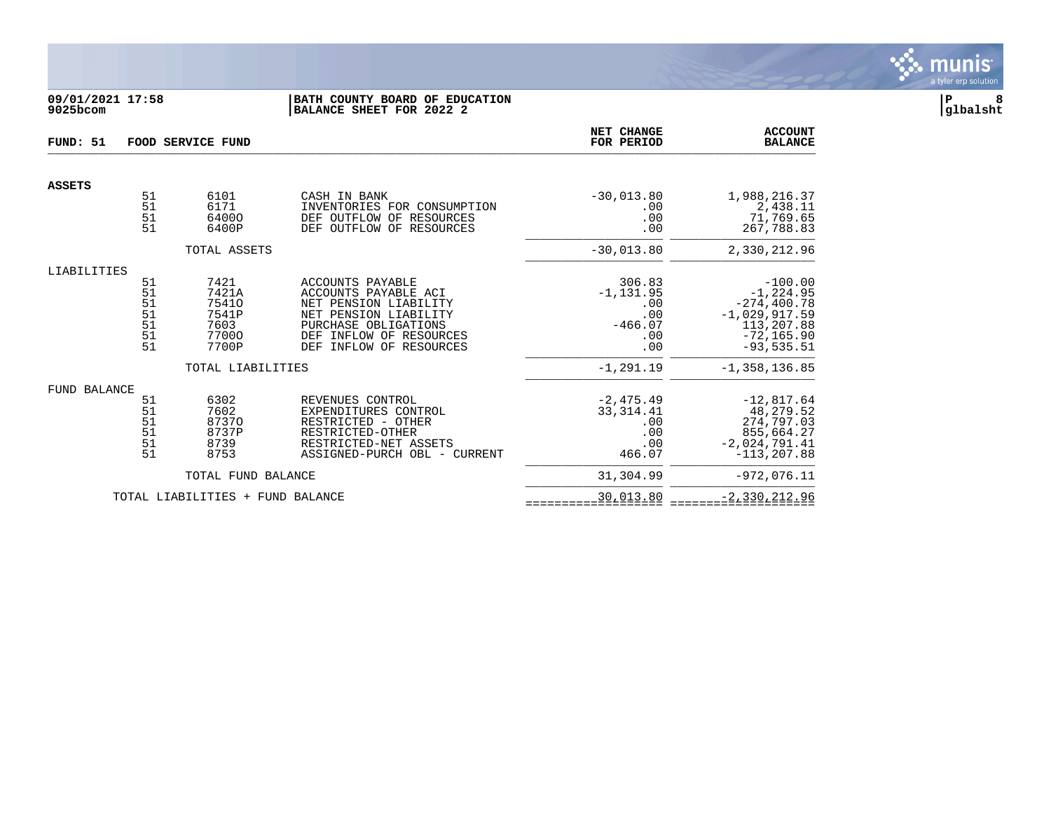

## **09/01/2021 17:58 |BATH COUNTY BOARD OF EDUCATION |P 8 9025bcom |BALANCE SHEET FOR 2022 2 |glbalsht**

| FUND: 51            |                                        | FOOD SERVICE FUND                                         | NET CHANGE<br>FOR PERIOD                                                                                                                                                    | <b>ACCOUNT</b><br><b>BALANCE</b>                                |                                                                                                               |
|---------------------|----------------------------------------|-----------------------------------------------------------|-----------------------------------------------------------------------------------------------------------------------------------------------------------------------------|-----------------------------------------------------------------|---------------------------------------------------------------------------------------------------------------|
| <b>ASSETS</b>       |                                        |                                                           |                                                                                                                                                                             |                                                                 |                                                                                                               |
|                     | 51<br>51<br>51<br>51                   | 6101<br>6171<br>64000<br>6400P                            | CASH IN BANK<br>INVENTORIES FOR CONSUMPTION<br>DEF OUTFLOW OF<br>RESOURCES<br>DEF OUTFLOW OF RESOURCES                                                                      | $-30,013.80$<br>.00<br>.00<br>.00                               | 1,988,216.37<br>2,438.11<br>71,769.65<br>267,788.83                                                           |
|                     |                                        | TOTAL ASSETS                                              |                                                                                                                                                                             | $-30,013.80$                                                    | 2,330,212.96                                                                                                  |
| LIABILITIES         | 51<br>51<br>51<br>51<br>51<br>51<br>51 | 7421<br>7421A<br>75410<br>7541P<br>7603<br>77000<br>7700P | ACCOUNTS PAYABLE<br>ACCOUNTS PAYABLE ACI<br>NET PENSION LIABILITY<br>NET PENSION LIABILITY<br>PURCHASE OBLIGATIONS<br>DEF INFLOW OF RESOURCES<br>INFLOW OF RESOURCES<br>DEF | 306.83<br>$-1, 131.95$<br>.00<br>.00<br>$-466.07$<br>.00<br>.00 | $-100.00$<br>$-1, 224.95$<br>$-274, 400.78$<br>$-1,029,917.59$<br>113,207.88<br>$-72, 165.90$<br>$-93,535.51$ |
|                     |                                        | TOTAL LIABILITIES                                         |                                                                                                                                                                             | $-1, 291.19$                                                    | $-1, 358, 136.85$                                                                                             |
| <b>FUND BALANCE</b> | 51<br>51<br>51<br>51<br>51<br>51       | 6302<br>7602<br>87370<br>8737P<br>8739<br>8753            | REVENUES CONTROL<br>EXPENDITURES CONTROL<br>RESTRICTED - OTHER<br>RESTRICTED-OTHER<br>RESTRICTED-NET ASSETS<br>ASSIGNED-PURCH OBL - CURRENT                                 | $-2, 475.49$<br>33, 314.41<br>.00<br>.00<br>.00<br>466.07       | $-12,817.64$<br>48,279.52<br>274,797.03<br>855,664.27<br>$-2,024,791.41$<br>$-113, 207.88$                    |
|                     |                                        | TOTAL FUND BALANCE                                        |                                                                                                                                                                             | 31,304.99                                                       | $-972,076.11$                                                                                                 |
|                     |                                        | TOTAL LIABILITIES + FUND BALANCE                          |                                                                                                                                                                             | 30,013.80                                                       | $-2,330,212.96$                                                                                               |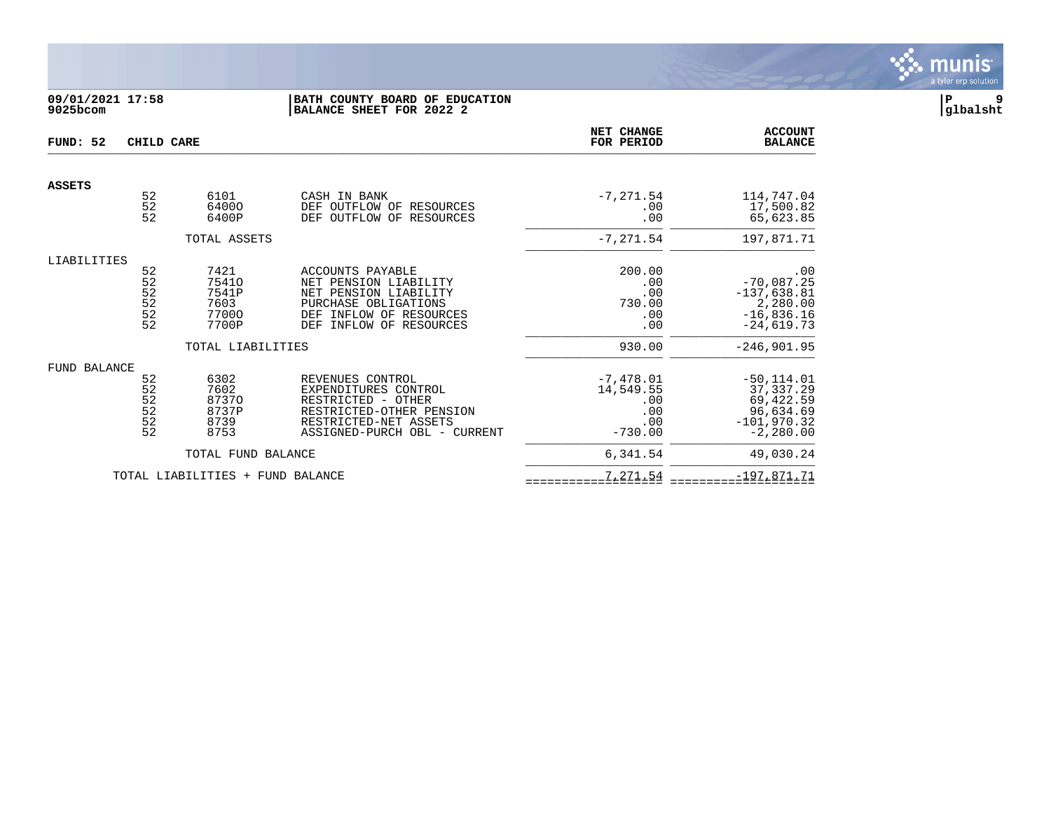

# **09/01/2021 17:58 |BATH COUNTY BOARD OF EDUCATION |P 9 9025bcom |BALANCE SHEET FOR 2022 2 |glbalsht**

| FUND: 52      | CHILD CARE                                           |                                                                       |                                                                                                                                                     | <b>NET CHANGE</b><br>FOR PERIOD                            | <b>ACCOUNT</b><br><b>BALANCE</b>                                                                   |
|---------------|------------------------------------------------------|-----------------------------------------------------------------------|-----------------------------------------------------------------------------------------------------------------------------------------------------|------------------------------------------------------------|----------------------------------------------------------------------------------------------------|
| <b>ASSETS</b> |                                                      |                                                                       |                                                                                                                                                     |                                                            |                                                                                                    |
|               | 52<br>52<br>52                                       | 6101<br>64000<br>6400P                                                | CASH IN BANK<br>DEF OUTFLOW OF RESOURCES<br>DEF OUTFLOW OF RESOURCES                                                                                | $-7, 271.54$<br>.00<br>.00                                 | 114,747.04<br>17,500.82<br>65,623.85                                                               |
|               |                                                      | TOTAL ASSETS                                                          |                                                                                                                                                     | $-7, 271.54$                                               | 197,871.71                                                                                         |
| LIABILITIES   | 52<br>52<br>$\frac{52}{52}$<br>52                    | 7421<br>75410<br>7541P<br>7603<br>77000<br>7700P<br>TOTAL LIABILITIES | ACCOUNTS PAYABLE<br>NET PENSION LIABILITY<br>NET PENSION LIABILITY<br>PURCHASE OBLIGATIONS<br>DEF INFLOW OF RESOURCES<br>INFLOW OF RESOURCES<br>DEF | 200.00<br>.00<br>.00<br>730.00<br>.00<br>.00<br>930.00     | .00<br>$-70,087.25$<br>$-137,638.81$<br>2,280.00<br>$-16,836.16$<br>$-24,619.73$<br>$-246, 901.95$ |
| FUND BALANCE  | 52<br>52<br>52<br>$\frac{52}{52}$<br>$\overline{52}$ | 6302<br>7602<br>87370<br>8737P<br>8739<br>8753                        | REVENUES CONTROL<br>EXPENDITURES CONTROL<br>RESTRICTED - OTHER<br>RESTRICTED-OTHER PENSION<br>RESTRICTED-NET ASSETS<br>ASSIGNED-PURCH OBL - CURRENT | $-7,478.01$<br>14,549.55<br>.00<br>.00<br>.00<br>$-730.00$ | $-50, 114.01$<br>37, 337.29<br>69,422.59<br>96,634.69<br>$-101,970.32$<br>$-2,280.00$              |
|               |                                                      | TOTAL FUND BALANCE                                                    |                                                                                                                                                     | 6,341.54                                                   | 49,030.24                                                                                          |
|               |                                                      | TOTAL LIABILITIES + FUND BALANCE                                      |                                                                                                                                                     | 7,271.54                                                   | $-197,871.71$                                                                                      |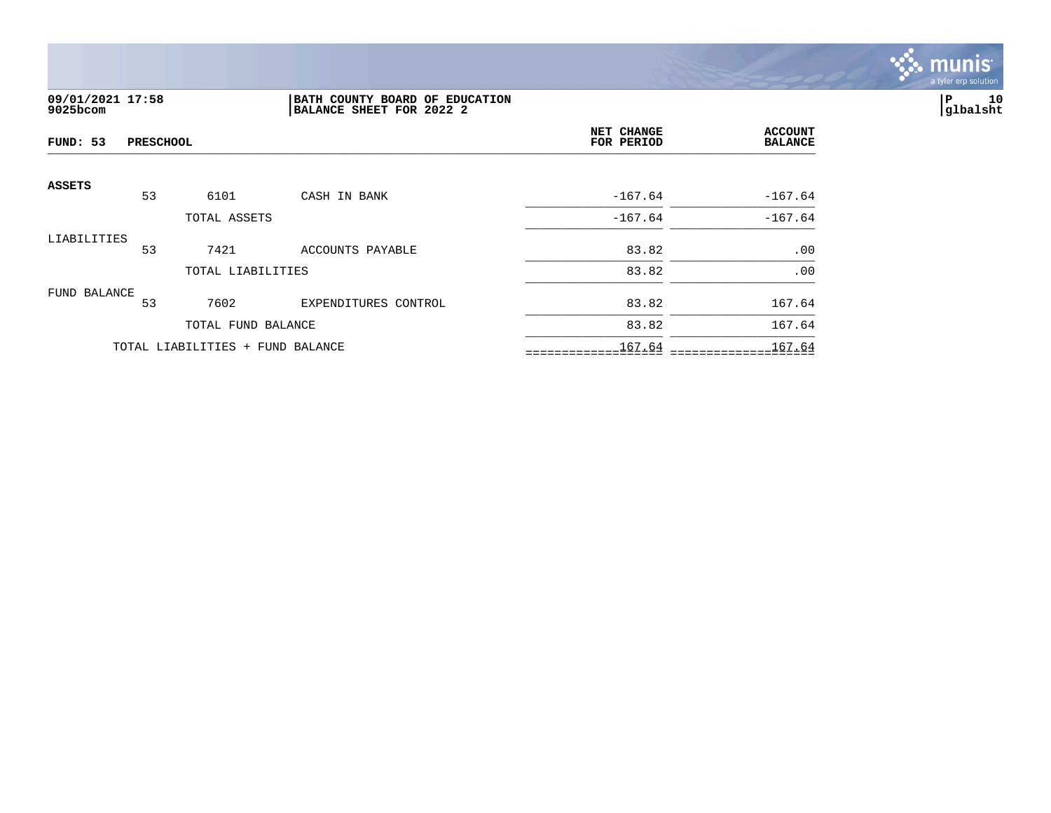

# **09/01/2021 17:58 |BATH COUNTY BOARD OF EDUCATION |P 10 9025bcom |BALANCE SHEET FOR 2022 2 |glbalsht**

| FUND: 53<br><b>PRESCHOOL</b> |    |                                  |                      | NET CHANGE<br>FOR PERIOD | <b>ACCOUNT</b><br><b>BALANCE</b> |
|------------------------------|----|----------------------------------|----------------------|--------------------------|----------------------------------|
| ASSETS                       | 53 | 6101                             | CASH IN BANK         | $-167.64$                | $-167.64$                        |
|                              |    | TOTAL ASSETS                     |                      | $-167.64$                | $-167.64$                        |
| LIABILITIES                  | 53 | 7421                             | ACCOUNTS PAYABLE     | 83.82                    | .00                              |
|                              |    | TOTAL LIABILITIES                |                      | 83.82                    | .00                              |
| FUND BALANCE                 | 53 | 7602                             | EXPENDITURES CONTROL | 83.82                    | 167.64                           |
|                              |    | TOTAL FUND BALANCE               |                      | 83.82                    | 167.64                           |
|                              |    | TOTAL LIABILITIES + FUND BALANCE |                      | 167.64                   | 167.64                           |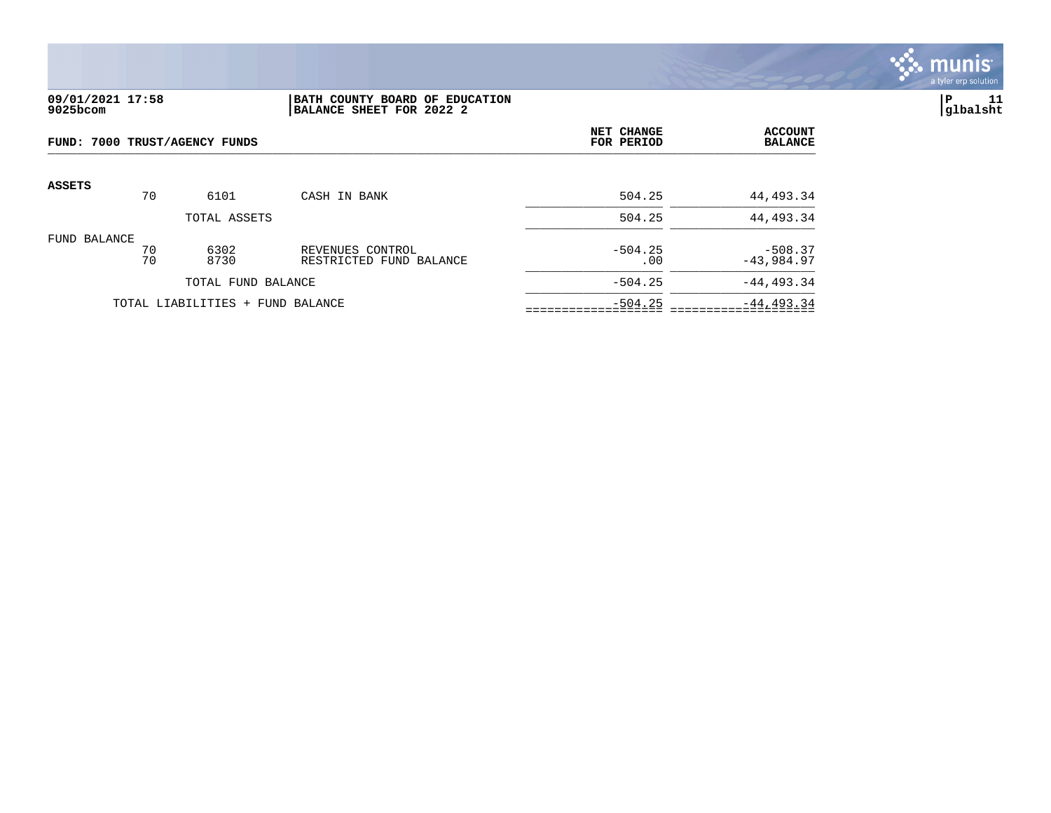

## **09/01/2021 17:58 |BATH COUNTY BOARD OF EDUCATION |P 11 9025bcom |BALANCE SHEET FOR 2022 2 |glbalsht**

|               | FUND: 7000 TRUST/AGENCY FUNDS |                                  |                                             |                  | <b>ACCOUNT</b><br><b>BALANCE</b> |
|---------------|-------------------------------|----------------------------------|---------------------------------------------|------------------|----------------------------------|
| <b>ASSETS</b> | 70                            | 6101                             | CASH IN BANK                                | 504.25           | 44,493.34                        |
|               |                               | TOTAL ASSETS                     |                                             | 504.25           | 44,493.34                        |
| FUND BALANCE  | 70<br>70                      | 6302<br>8730                     | REVENUES CONTROL<br>RESTRICTED FUND BALANCE | $-504.25$<br>.00 | $-508.37$<br>$-43,984.97$        |
|               | TOTAL FUND BALANCE            |                                  |                                             | $-504.25$        | $-44, 493.34$                    |
|               |                               | TOTAL LIABILITIES + FUND BALANCE |                                             | $-504.25$        | $-44, 493.34$                    |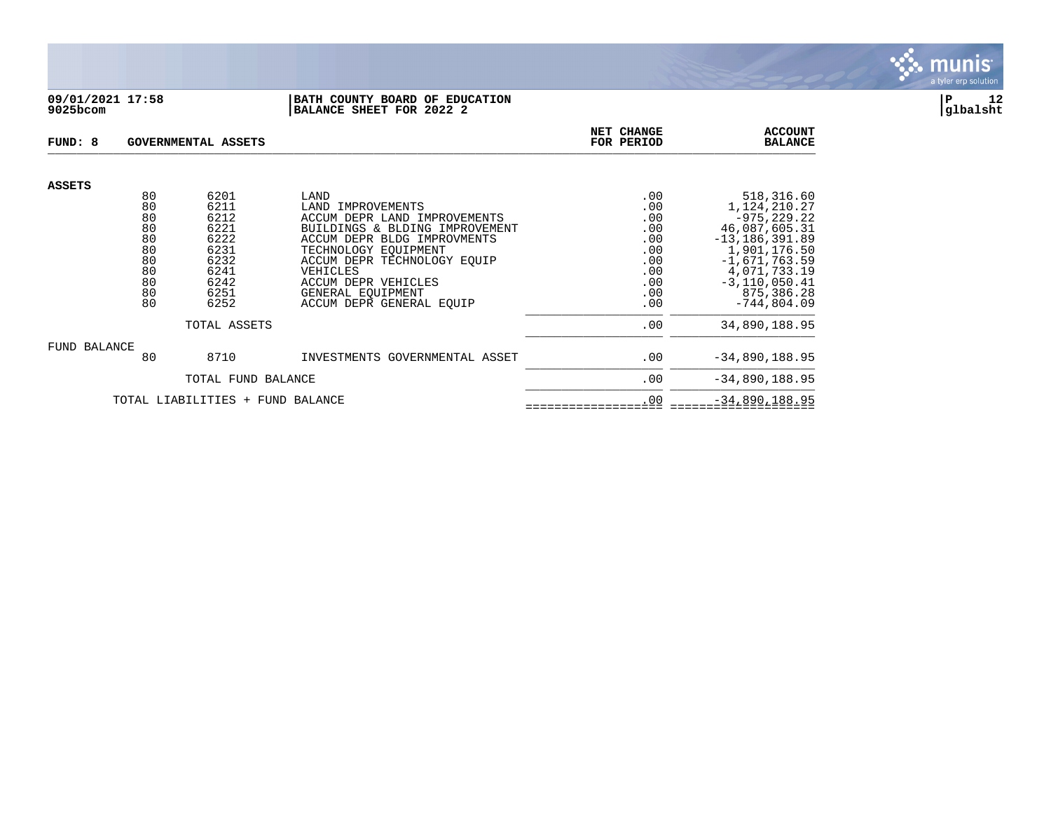

#### **09/01/2021 17:58 |BATH COUNTY BOARD OF EDUCATION |P 12 9025bcom |BALANCE SHEET FOR 2022 2 |glbalsht**

| FUND: 8       |                                  | GOVERNMENTAL ASSETS | NET CHANGE<br><b>ACCOUNT</b><br>FOR PERIOD<br><b>BALANCE</b> |            |                                   |
|---------------|----------------------------------|---------------------|--------------------------------------------------------------|------------|-----------------------------------|
| <b>ASSETS</b> | 80                               | 6201                | LAND                                                         | .00        | 518,316.60                        |
|               | 80                               | 6211                | LAND IMPROVEMENTS                                            | .00        | 1,124,210.27                      |
|               | 80                               | 6212                | ACCUM DEPR LAND IMPROVEMENTS                                 | .00        | $-975, 229.22$                    |
|               | 80                               | 6221                | BUILDINGS & BLDING IMPROVEMENT                               | .00        | 46,087,605.31                     |
|               | 80                               | 6222                | ACCUM DEPR BLDG IMPROVMENTS                                  | .00        | $-13, 186, 391.89$                |
|               | 80                               | 6231                | TECHNOLOGY EOUIPMENT                                         | .00        | 1,901,176.50                      |
|               | 80<br>80                         | 6232<br>6241        | ACCUM DEPR TECHNOLOGY EOUIP                                  | .00        | $-1,671,763.59$                   |
|               | 80                               | 6242                | VEHICLES<br>ACCUM DEPR VEHICLES                              | .00<br>.00 | 4,071,733.19<br>$-3, 110, 050.41$ |
|               | 80                               | 6251                | GENERAL EQUIPMENT                                            | .00        | 875,386.28                        |
|               | 80                               | 6252                | ACCUM DEPR GENERAL EOUIP                                     | .00        | $-744,804.09$                     |
|               |                                  | TOTAL ASSETS        |                                                              | .00        | 34,890,188.95                     |
| FUND BALANCE  |                                  |                     |                                                              |            |                                   |
|               | 80                               | 8710                | INVESTMENTS GOVERNMENTAL ASSET                               | .00        | $-34,890,188.95$                  |
|               |                                  | TOTAL FUND BALANCE  |                                                              | .00        | $-34,890,188.95$                  |
|               | TOTAL LIABILITIES + FUND BALANCE |                     |                                                              | .00        | $-34,890,188.95$                  |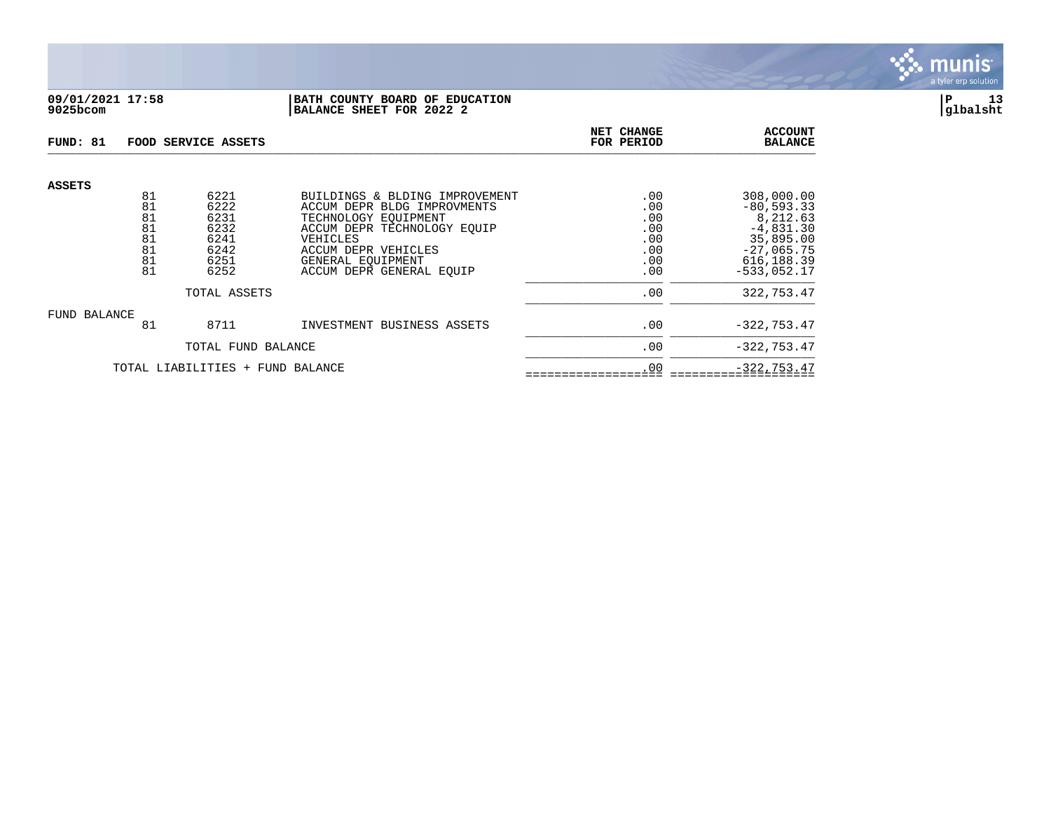

## **09/01/2021 17:58 |BATH COUNTY BOARD OF EDUCATION |P 13 9025bcom |BALANCE SHEET FOR 2022 2 |glbalsht**

| FUND: 81      |                                        | FOOD SERVICE ASSETS                                  |                                                                                                                                                                              | NET CHANGE<br>FOR PERIOD                      | <b>ACCOUNT</b><br><b>BALANCE</b>                                                                   |
|---------------|----------------------------------------|------------------------------------------------------|------------------------------------------------------------------------------------------------------------------------------------------------------------------------------|-----------------------------------------------|----------------------------------------------------------------------------------------------------|
| <b>ASSETS</b> | 81<br>81<br>81<br>81<br>81<br>81<br>81 | 6221<br>6222<br>6231<br>6232<br>6241<br>6242<br>6251 | BUILDINGS & BLDING IMPROVEMENT<br>ACCUM DEPR BLDG IMPROVMENTS<br>TECHNOLOGY EOUIPMENT<br>ACCUM DEPR TECHNOLOGY EQUIP<br>VEHICLES<br>ACCUM DEPR VEHICLES<br>GENERAL EOUIPMENT | .00<br>.00<br>.00<br>.00<br>.00<br>.00<br>.00 | 308,000.00<br>$-80, 593.33$<br>8,212.63<br>$-4,831.30$<br>35,895.00<br>$-27,065.75$<br>616, 188.39 |
|               | 81                                     | 6252                                                 | ACCUM DEPR GENERAL EOUIP                                                                                                                                                     | .00                                           | $-533,052.17$                                                                                      |
|               |                                        | TOTAL ASSETS                                         | .00                                                                                                                                                                          | 322,753.47                                    |                                                                                                    |
| FUND BALANCE  |                                        |                                                      |                                                                                                                                                                              |                                               |                                                                                                    |
|               | 81                                     | 8711                                                 | INVESTMENT BUSINESS ASSETS                                                                                                                                                   | .00                                           | $-322, 753.47$                                                                                     |
|               |                                        | TOTAL FUND BALANCE                                   | .00                                                                                                                                                                          | $-322, 753.47$                                |                                                                                                    |
|               |                                        | TOTAL LIABILITIES + FUND BALANCE                     | .00                                                                                                                                                                          | $-322, 753.47$                                |                                                                                                    |